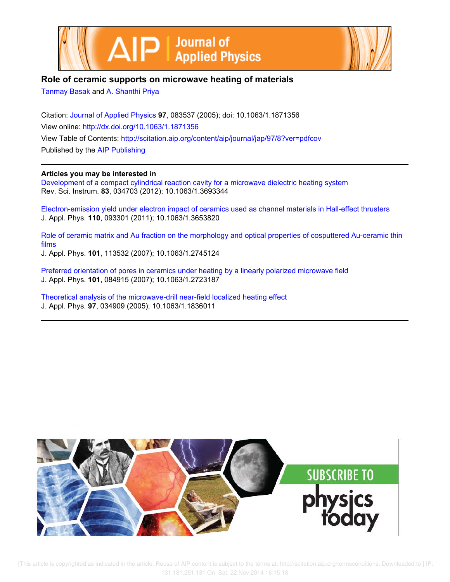



# **Role of ceramic supports on microwave heating of materials**

Tanmay Basak and A. Shanthi Priya

Citation: Journal of Applied Physics **97**, 083537 (2005); doi: 10.1063/1.1871356 View online: http://dx.doi.org/10.1063/1.1871356 View Table of Contents: http://scitation.aip.org/content/aip/journal/jap/97/8?ver=pdfcov Published by the AIP Publishing

# **Articles you may be interested in**

Development of a compact cylindrical reaction cavity for a microwave dielectric heating system Rev. Sci. Instrum. **83**, 034703 (2012); 10.1063/1.3693344

Electron-emission yield under electron impact of ceramics used as channel materials in Hall-effect thrusters J. Appl. Phys. **110**, 093301 (2011); 10.1063/1.3653820

Role of ceramic matrix and Au fraction on the morphology and optical properties of cosputtered Au-ceramic thin films

J. Appl. Phys. **101**, 113532 (2007); 10.1063/1.2745124

Preferred orientation of pores in ceramics under heating by a linearly polarized microwave field J. Appl. Phys. **101**, 084915 (2007); 10.1063/1.2723187

Theoretical analysis of the microwave-drill near-field localized heating effect J. Appl. Phys. **97**, 034909 (2005); 10.1063/1.1836011

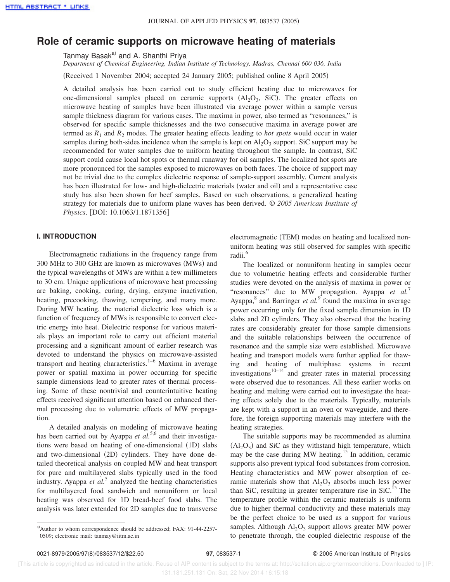# **Role of ceramic supports on microwave heating of materials**

Tanmay Basak<sup>a)</sup> and A. Shanthi Priya

*Department of Chemical Engineering, Indian Institute of Technology, Madras, Chennai 600 036, India*

(Received 1 November 2004; accepted 24 January 2005; published online 8 April 2005)

A detailed analysis has been carried out to study efficient heating due to microwaves for one-dimensional samples placed on ceramic supports  $(Al_2O_3, SiC)$ . The greater effects on microwave heating of samples have been illustrated via average power within a sample versus sample thickness diagram for various cases. The maxima in power, also termed as "resonances," is observed for specific sample thicknesses and the two consecutive maxima in average power are termed as  $R_1$  and  $R_2$  modes. The greater heating effects leading to *hot spots* would occur in water samples during both-sides incidence when the sample is kept on  $Al_2O_3$  support. SiC support may be recommended for water samples due to uniform heating throughout the sample. In contrast, SiC support could cause local hot spots or thermal runaway for oil samples. The localized hot spots are more pronounced for the samples exposed to microwaves on both faces. The choice of support may not be trivial due to the complex dielectric response of sample-support assembly. Current analysis has been illustrated for low- and high-dielectric materials (water and oil) and a representative case study has also been shown for beef samples. Based on such observations, a generalized heating strategy for materials due to uniform plane waves has been derived. © *2005 American Institute of Physics.* [DOI: 10.1063/1.1871356]

# **I. INTRODUCTION**

Electromagnetic radiations in the frequency range from  $300$  MHz to  $300$  GHz are known as microwaves (MWs) and the typical wavelengths of MWs are within a few millimeters to 30 cm. Unique applications of microwave heat processing are baking, cooking, curing, drying, enzyme inactivation, heating, precooking, thawing, tempering, and many more. During MW heating, the material dielectric loss which is a function of frequency of MWs is responsible to convert electric energy into heat. Dielectric response for various materials plays an important role to carry out efficient material processing and a significant amount of earlier research was devoted to understand the physics on microwave-assisted transport and heating characteristics. $1-6$  Maxima in average power or spatial maxima in power occurring for specific sample dimensions lead to greater rates of thermal processing. Some of these nontrivial and counterintuitive heating effects received significant attention based on enhanced thermal processing due to volumetric effects of MW propagation.

A detailed analysis on modeling of microwave heating has been carried out by Ayappa *et al.*<sup>5,6</sup> and their investigations were based on heating of one-dimensional (1D) slabs and two-dimensional (2D) cylinders. They have done detailed theoretical analysis on coupled MW and heat transport for pure and multilayered slabs typically used in the food industry. Ayappa *et al.*<sup>5</sup> analyzed the heating characteristics for multilayered food sandwich and nonuniform or local heating was observed for 1D bread-beef food slabs. The analysis was later extended for 2D samples due to transverse

electromagnetic (TEM) modes on heating and localized nonuniform heating was still observed for samples with specific radii.<sup>6</sup>

The localized or nonuniform heating in samples occur due to volumetric heating effects and considerable further studies were devoted on the analysis of maxima in power or "resonances" due to MW propagation. Ayappa *et al.*<sup>7</sup> Ayappa,<sup>8</sup> and Barringer *et al.*<sup>9</sup> found the maxima in average power occurring only for the fixed sample dimension in 1D slabs and 2D cylinders. They also observed that the heating rates are considerably greater for those sample dimensions and the suitable relationships between the occurrence of resonance and the sample size were established. Microwave heating and transport models were further applied for thawing and heating of multiphase systems in recent investigations $10^{-14}$  and greater rates in material processing were observed due to resonances. All these earlier works on heating and melting were carried out to investigate the heating effects solely due to the materials. Typically, materials are kept with a support in an oven or waveguide, and therefore, the foreign supporting materials may interfere with the heating strategies.

The suitable supports may be recommended as alumina  $(Al<sub>2</sub>O<sub>3</sub>)$  and SiC as they withstand high temperature, which may be the case during MW heating.<sup>15</sup> In addition, ceramic supports also prevent typical food substances from corrosion. Heating characteristics and MW power absorption of ceramic materials show that  $Al_2O_3$  absorbs much less power than SiC, resulting in greater temperature rise in  $SiC<sup>15</sup>$ . The temperature profile within the ceramic materials is uniform due to higher thermal conductivity and these materials may be the perfect choice to be used as a support for various samples. Although  $Al_2O_3$  support allows greater MW power to penetrate through, the coupled dielectric response of the

a)Author to whom correspondence should be addressed; FAX: 91-44-2257-0509; electronic mail: tanmay@iitm.ac.in

 <sup>[</sup>This article is copyrighted as indicated in the article. Reuse of AIP content is subject to the terms at: http://scitation.aip.org/termsconditions. Downloaded to ] IP: 131.181.251.131 On: Sat, 22 Nov 2014 16:15:18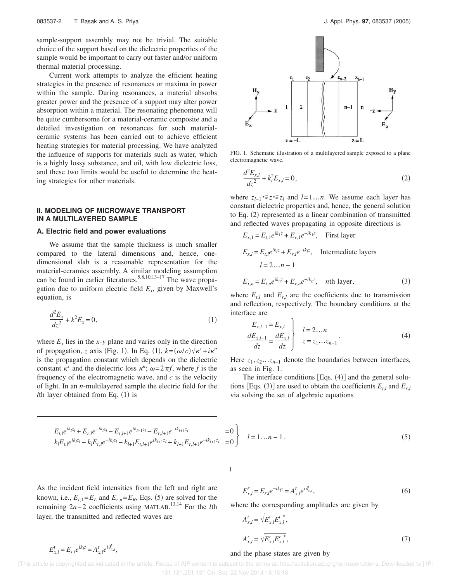sample-support assembly may not be trivial. The suitable choice of the support based on the dielectric properties of the sample would be important to carry out faster and/or uniform thermal material processing.

Current work attempts to analyze the efficient heating strategies in the presence of resonances or maxima in power within the sample. During resonances, a material absorbs greater power and the presence of a support may alter power absorption within a material. The resonating phenomena will be quite cumbersome for a material-ceramic composite and a detailed investigation on resonances for such materialceramic systems has been carried out to achieve efficient heating strategies for material processing. We have analyzed the influence of supports for materials such as water, which is a highly lossy substance, and oil, with low dielectric loss, and these two limits would be useful to determine the heating strategies for other materials.

## **II. MODELING OF MICROWAVE TRANSPORT IN A MULTILAYERED SAMPLE**

#### **A. Electric field and power evaluations**

We assume that the sample thickness is much smaller compared to the lateral dimensions and, hence, onedimensional slab is a reasonable representation for the material-ceramics assembly. A similar modeling assumption can be found in earlier literatures.<sup>5,8,10,13–17</sup> The wave propagation due to uniform electric field *E<sup>x</sup>* , given by Maxwell's equation, is

$$
\frac{d^2E_x}{dz^2} + k^2E_x = 0,
$$
\t(1)

where  $E_x$  lies in the *x*-*y* plane and varies only in the direction of propagation, *z* axis (Fig. 1). In Eq. (1),  $k=(\omega/c)\sqrt{\kappa'+i\kappa''}$ is the propagation constant which depends on the dielectric constant  $\kappa'$  and the dielectric loss  $\kappa''$ ;  $\omega=2\pi f$ , where *f* is the frequency of the electromagnetic wave, and *c* is the velocity of light. In an *n*-multilayered sample the electric field for the *lth* layer obtained from Eq.  $(1)$  is



FIG. 1. Schematic illustration of a multilayered sample exposed to a plane electromagnetic wave.

$$
\frac{d^2E_{x,l}}{dz^2} + k_l^2E_{x,l} = 0,
$$
\t(2)

where  $z_{l-1}$ ≤ $z$ ≤ $z_l$  and  $l=1...n$ . We assume each layer has constant dielectric properties and, hence, the general solution to Eq.  $(2)$  represented as a linear combination of transmitted and reflected waves propagating in opposite directions is

$$
E_{x,1} = E_{t,1}e^{ik_1z} + E_{r,1}e^{-ik_1z}, \quad \text{First layer}
$$
  
\n
$$
E_{x,l} = E_{t,l}e^{ik_lz} + E_{r,l}e^{-ik_lz}, \quad \text{Intermediate layers}
$$
  
\n
$$
l = 2...n - 1
$$
  
\n
$$
E_{x,n} = E_{t,n}e^{ik_nz} + E_{r,n}e^{-ik_nz}, \quad \text{nth layer}, \tag{3}
$$

where  $E_{t,l}$  and  $E_{r,l}$  are the coefficients due to transmission and reflection, respectively. The boundary conditions at the interface are

$$
\frac{E_{x,l-1}}{dz} = \frac{E_{x,l}}{dz} \begin{cases} l = 2...n \\ z = z_1...z_{n-1} \end{cases}
$$
 (4)

Here  $z_1$ ,  $z_2$ … $z_{n-1}$  denote the boundaries between interfaces, as seen in Fig. 1.

The interface conditions [Eqs.  $(4)$ ] and the general solutions [Eqs. (3)] are used to obtain the coefficients  $E_{t,l}$  and  $E_{r,l}$ via solving the set of algebraic equations

$$
E_{t,l}e^{ik_{l}z_{l}} + E_{r,l}e^{-ik_{l}z_{l}} - E_{t,l+1}e^{ik_{l+1}z_{l}} - E_{r,l+1}e^{-ik_{l+1}z_{l}} = 0
$$
  
\n
$$
k_{l}E_{t,l}e^{ik_{l}z_{l}} - k_{l}E_{r,l}e^{-ik_{l}z_{l}} - k_{l+1}E_{t,l+1}e^{ik_{l+1}z_{l}} + k_{l+1}E_{r,l+1}e^{-ik_{l+1}z_{l}} = 0
$$
  
\n
$$
l = 1...n - 1.
$$
\n(5)

As the incident field intensities from the left and right are known, i.e.,  $E_{t,1} = E_L$  and  $E_{r,n} = E_R$ , Eqs. (5) are solved for the remaining 2*n*−2 coefficients using MATLAB. 13,14 For the *l*th layer, the transmitted and reflected waves are

$$
E_{x,l}^r = E_{r,l}e^{-ik_lz} = A_{x,l}^r e^{i\delta_{x,l}^r},
$$
\n(6)

where the corresponding amplitudes are given by

$$
A_{x,l}^{t} = \sqrt{E_{x,l}^{t} E_{x,l}^{t}}^{*},
$$
  
\n
$$
A_{x,l}^{r} = \sqrt{E_{x,l}^{r} E_{x,l}^{r}}^{*},
$$
\n(7)

# $E^t_{x,l} = E_{t,l} e^{ik_l z} = A^t_{x,l} e^{i\delta^t_{x,l}},$

#### and the phase states are given by

 [This article is copyrighted as indicated in the article. Reuse of AIP content is subject to the terms at: http://scitation.aip.org/termsconditions. Downloaded to ] IP: 131.181.251.131 On: Sat, 22 Nov 2014 16:15:18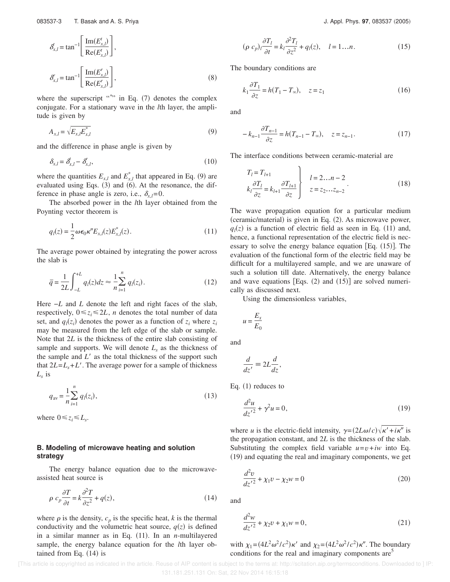$$
\delta_{x,l}^{t} = \tan^{-1} \left[ \frac{\text{Im}(E_{x,l}^{t})}{\text{Re}(E_{x,l}^{t})} \right],
$$
  

$$
\delta_{x,l}^{t} = \tan^{-1} \left[ \frac{\text{Im}(E_{x,l}^{r})}{\text{Re}(E_{x,l}^{r})} \right],
$$
 (8)

where the superscript "\*" in Eq. (7) denotes the complex conjugate. For a stationary wave in the *l*th layer, the amplitude is given by

$$
A_{x,l} = \sqrt{E_{x,l}E_{x,l}^*}
$$
\n<sup>(9)</sup>

and the difference in phase angle is given by

$$
\delta_{x,l} = \delta_{x,l}^t - \delta_{x,l}^r,\tag{10}
$$

where the quantities  $E_{x,l}$  and  $E_{x,l}^*$  that appeared in Eq. (9) are evaluated using Eqs.  $(3)$  and  $(6)$ . At the resonance, the difference in phase angle is zero, i.e.,  $\delta_{x,l} = 0$ .

The absorbed power in the *l*th layer obtained from the Poynting vector theorem is

$$
q_l(z) = \frac{1}{2} \omega \epsilon_0 \kappa'' E_{x,l}(z) E_{x,l}^*(z).
$$
 (11)

The average power obtained by integrating the power across the slab is

$$
\bar{q} = \frac{1}{2L} \int_{-L}^{+L} q_l(z) dz \approx \frac{1}{n} \sum_{i=1}^{n} q_l(z_i). \tag{12}
$$

Here −*L* and *L* denote the left and right faces of the slab, respectively,  $0 \le z_i \le 2L$ , *n* denotes the total number of data set, and  $q_l(z_i)$  denotes the power as a function of  $z_i$  where  $z_i$ may be measured from the left edge of the slab or sample. Note that 2*L* is the thickness of the entire slab consisting of sample and supports. We will denote  $L<sub>s</sub>$  as the thickness of the sample and  $L<sup>3</sup>$  as the total thickness of the support such that  $2L = L_s + L'$ . The average power for a sample of thickness *Ls* is

$$
q_{\rm av} = \frac{1}{n} \sum_{i=1}^{n} q_i(z_i),\tag{13}
$$

where  $0 \le z_i \le L_s$ .

# **B. Modeling of microwave heating and solution strategy**

The energy balance equation due to the microwaveassisted heat source is

$$
\rho c_p \frac{\partial T}{\partial t} = k \frac{\partial^2 T}{\partial z^2} + q(z),\tag{14}
$$

where  $\rho$  is the density,  $c_p$  is the specific heat,  $k$  is the thermal conductivity and the volumetric heat source,  $q(z)$  is defined in a similar manner as in Eq.  $(11)$ . In an *n*-multilayered sample, the energy balance equation for the *l*th layer obtained from Eq.  $(14)$  is

$$
(\rho c_p)_l \frac{\partial T_l}{\partial t} = k_l \frac{\partial^2 T_l}{\partial z^2} + q_l(z), \quad l = 1...n.
$$
 (15)

The boundary conditions are

$$
k_1 \frac{\partial T_1}{\partial z} = h(T_1 - T_\infty), \quad z = z_1 \tag{16}
$$

and

$$
-k_{n-1}\frac{\partial T_{n-1}}{\partial z} = h(T_{n-1} - T_{\infty}), \quad z = z_{n-1}.
$$
 (17)

The interface conditions between ceramic-material are

$$
T_l = T_{l+1}
$$
  
\n
$$
k_l \frac{\partial T_l}{\partial z} = k_{l+1} \frac{\partial T_{l+1}}{\partial z} \left\{ \begin{array}{c} l = 2...n - 2 \\ z = z_2...z_{n-2} \end{array} \right. \tag{18}
$$

The wave propagation equation for a particular medium  $(ceramic/material)$  is given in Eq.  $(2)$ . As microwave power,  $q_l(z)$  is a function of electric field as seen in Eq. (11) and, hence, a functional representation of the electric field is necessary to solve the energy balance equation [Eq.  $(15)$ ]. The evaluation of the functional form of the electric field may be difficult for a multilayered sample, and we are unaware of such a solution till date. Alternatively, the energy balance and wave equations [Eqs.  $(2)$  and  $(15)$ ] are solved numerically as discussed next.

Using the dimensionless variables,

$$
u=\frac{E_x}{E_0}
$$

and

$$
\frac{d}{dz'} \equiv 2L \frac{d}{dz}
$$

,

Eq.  $(1)$  reduces to

$$
\frac{d^2u}{dz'^2} + \gamma^2 u = 0,\tag{19}
$$

where *u* is the electric-field intensity,  $\gamma = (2L\omega/c)\sqrt{\kappa' + i\kappa''}$  is the propagation constant, and 2*L* is the thickness of the slab. Substituting the complex field variable  $u=v+iw$  into Eq.  $(19)$  and equating the real and imaginary components, we get

$$
\frac{d^2v}{dz'^2} + \chi_1 v - \chi_2 w = 0
$$
 (20)

and

$$
\frac{d^2w}{dz'^2} + \chi_2 v + \chi_1 w = 0,
$$
\n(21)

with  $\chi_1 = (4L^2\omega^2/c^2)\kappa'$  and  $\chi_2 = (4L^2\omega^2/c^2)\kappa''$ . The boundary conditions for the real and imaginary components are<sup>5</sup>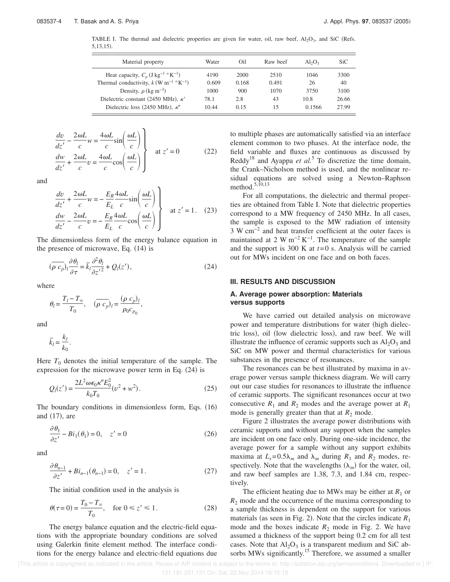TABLE I. The thermal and dielectric properties are given for water, oil, raw beef,  $A1_2O_3$ , and SiC (Refs.  $5,13,15$ .

| Material property                                               | Water | Oil   | Raw beef | $Al_2O_3$ | <b>SiC</b> |
|-----------------------------------------------------------------|-------|-------|----------|-----------|------------|
| Heat capacity, $C_p$ (J kg <sup>-1</sup> °K <sup>-1</sup> )     | 4190  | 2000  | 2510     | 1046      | 3300       |
| Thermal conductivity, $k$ (W m <sup>-1</sup> °K <sup>-1</sup> ) | 0.609 | 0.168 | 0.491    | 26        | 40         |
| Density, $\rho$ (kg m <sup>-3</sup> )                           | 1000  | 900   | 1070     | 3750      | 3100       |
| Dielectric constant (2450 MHz), $\kappa'$                       | 78.1  | 2.8   | 43       | 10.8      | 26.66      |
| Dielectric loss (2450 MHz), $\kappa$ "                          | 10.44 | 0.15  | 15       | 0.1566    | 27.99      |

$$
\begin{cases}\n\frac{dv}{dz'} - \frac{2\omega L}{c}w = \frac{4\omega L}{c}\sin\left(\frac{\omega L}{c}\right) \\
\frac{dw}{dz'} + \frac{2\omega L}{c}v = \frac{4\omega L}{c}\cos\left(\frac{\omega L}{c}\right)\n\end{cases}
$$
 at  $z' = 0$  (22)

and

$$
\begin{cases}\n\frac{dv}{dz'} + \frac{2\omega L}{c}w = -\frac{E_R}{E_L} \frac{4\omega L}{c} \sin\left(\frac{\omega L}{c}\right) \\
\frac{dw}{dz'} - \frac{2\omega L}{c}v = -\frac{E_R}{E_L} \frac{4\omega L}{c} \cos\left(\frac{\omega L}{c}\right)\n\end{cases}
$$
 at  $z' = 1$ . (23)

The dimensionless form of the energy balance equation in the presence of microwave, Eq.  $(14)$  is

$$
(\overline{\rho} c_p)_l \frac{\partial \theta_l}{\partial \tau} = \overline{k}_l \frac{\partial^2 \theta_l}{\partial z^2} + Q_l(z'),\tag{24}
$$

where

$$
\theta_l = \frac{T_l - T_{\infty}}{T_0}, \quad (\overline{\rho} \overline{c_p})_l = \frac{(\rho \overline{c_p})_l}{\rho_0 c_{p_0}},
$$

and

$$
\overline{k}_l = \frac{k_l}{k_0}.
$$

Here  $T_0$  denotes the initial temperature of the sample. The expression for the microwave power term in Eq.  $(24)$  is

$$
Q_l(z') = \frac{2L^2 \omega \epsilon_0 \kappa'' E_0^2}{k_0 T_0} (v^2 + w^2).
$$
 (25)

The boundary conditions in dimensionless form, Eqs.  $(16)$ and  $(17)$ , are

$$
\frac{\partial \theta_1}{\partial z'} - Bi_1(\theta_1) = 0, \quad z' = 0 \tag{26}
$$

and

$$
\frac{\partial \theta_{n-1}}{\partial z'} + Bi_{n-1}(\theta_{n-1}) = 0, \quad z' = 1.
$$
 (27)

The initial condition used in the analysis is

$$
\theta(\tau = 0) = \frac{T_0 - T_\infty}{T_0}, \quad \text{for } 0 \le z' \le 1.
$$
\n(28)

The energy balance equation and the electric-field equations with the appropriate boundary conditions are solved using Galerkin finite element method. The interface conditions for the energy balance and electric-field equations due

to multiple phases are automatically satisfied via an interface element common to two phases. At the interface node, the field variable and fluxes are continuous as discussed by Reddy<sup>18</sup> and Ayappa *et al.*<sup>5</sup> To discretize the time domain, the Crank–Nicholson method is used, and the nonlinear residual equations are solved using a Newton–Raphson method.5,10,13

For all computations, the dielectric and thermal properties are obtained from Table I. Note that dielectric properties correspond to a MW frequency of 2450 MHz. In all cases, the sample is exposed to the MW radiation of intensity 3 W cm−2 and heat transfer coefficient at the outer faces is maintained at 2 W m<sup>-2</sup> K<sup>-1</sup>. The temperature of the sample and the support is 300 K at *t*=0 s. Analysis will be carried out for MWs incident on one face and on both faces.

### **III. RESULTS AND DISCUSSION**

# **A. Average power absorption: Materials versus supports**

We have carried out detailed analysis on microwave power and temperature distributions for water (high dielectric loss), oil (low dielectric loss), and raw beef. We will illustrate the influence of ceramic supports such as  $Al_2O_3$  and SiC on MW power and thermal characteristics for various substances in the presence of resonances.

The resonances can be best illustrated by maxima in average power versus sample thickness diagram. We will carry out our case studies for resonances to illustrate the influence of ceramic supports. The significant resonances occur at two consecutive  $R_1$  and  $R_2$  modes and the average power at  $R_1$ mode is generally greater than that at  $R_2$  mode.

Figure 2 illustrates the average power distributions with ceramic supports and without any support when the samples are incident on one face only. During one-side incidence, the average power for a sample without any support exhibits maxima at  $L_s = 0.5\lambda_m$  and  $\lambda_m$  during  $R_1$  and  $R_2$  modes, respectively. Note that the wavelengths  $(\lambda_m)$  for the water, oil, and raw beef samples are 1.38, 7.3, and 1.84 cm, respectively.

The efficient heating due to MWs may be either at  $R_1$  or  $R<sub>2</sub>$  mode and the occurrence of the maxima corresponding to a sample thickness is dependent on the support for various materials (as seen in Fig. 2). Note that the circles indicate  $R_1$ mode and the boxes indicate  $R_2$  mode in Fig. 2. We have assumed a thickness of the support being 0.2 cm for all test cases. Note that  $Al_2O_3$  is a transparent medium and SiC absorbs MWs significantly.<sup>15</sup> Therefore, we assumed a smaller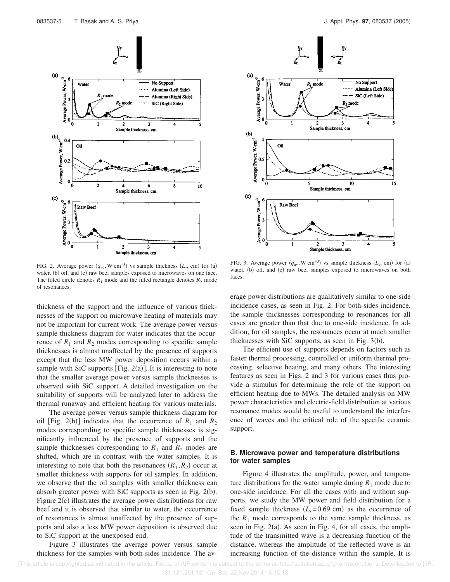

FIG. 2. Average power  $(q_{av}$ , W cm<sup>-3</sup>) vs sample thickness  $(L_s$ , cm) for (a) water, (b) oil, and (c) raw beef samples exposed to microwaves on one face. The filled circle denotes  $R_1$  mode and the filled rectangle denotes  $R_2$  mode of resonances.

thickness of the support and the influence of various thicknesses of the support on microwave heating of materials may not be important for current work. The average power versus sample thickness diagram for water indicates that the occurrence of  $R_1$  and  $R_2$  modes corresponding to specific sample thicknesses is almost unaffected by the presence of supports except that the less MW power deposition occurs within a sample with SiC supports [Fig. 2(a)]. It is interesting to note that the smaller average power versus sample thicknesses is observed with SiC support. A detailed investigation on the suitability of supports will be analyzed later to address the thermal runaway and efficient heating for various materials.

The average power versus sample thickness diagram for oil [Fig. 2(b)] indicates that the occurrence of  $R_1$  and  $R_2$ modes corresponding to specific sample thicknesses is significantly influenced by the presence of supports and the sample thicknesses corresponding to  $R_1$  and  $R_2$  modes are shifted, which are in contrast with the water samples. It is interesting to note that both the resonances  $(R_1, R_2)$  occur at smaller thickness with supports for oil samples. In addition, we observe that the oil samples with smaller thickness can absorb greater power with SiC supports as seen in Fig.  $2(b)$ . Figure  $2(c)$  illustrates the average power distributions for raw beef and it is observed that similar to water, the occurrence of resonances is almost unaffected by the presence of supports and also a less MW power deposition is observed due to SiC support at the unexposed end.

Figure 3 illustrates the average power versus sample thickness for the samples with both-sides incidence. The av-



FIG. 3. Average power  $(q_{av}$ , W cm<sup>-3</sup>) vs sample thickness  $(L_s, cm)$  for (a) water, (b) oil, and (c) raw beef samples exposed to microwaves on both faces.

erage power distributions are qualitatively similar to one-side incidence cases, as seen in Fig. 2. For both-sides incidence, the sample thicknesses corresponding to resonances for all cases are greater than that due to one-side incidence. In addition, for oil samples, the resonances occur at much smaller thicknesses with SiC supports, as seen in Fig.  $3(b)$ .

The efficient use of supports depends on factors such as faster thermal processing, controlled or uniform thermal processing, selective heating, and many others. The interesting features as seen in Figs. 2 and 3 for various cases thus provide a stimulus for determining the role of the support on efficient heating due to MWs. The detailed analysis on MW power characteristics and electric-field distribution at various resonance modes would be useful to understand the interference of waves and the critical role of the specific ceramic support.

# **B. Microwave power and temperature distributions for water samples**

Figure 4 illustrates the amplitude, power, and temperature distributions for the water sample during  $R_1$  mode due to one-side incidence. For all the cases with and without supports, we study the MW power and field distribution for a fixed sample thickness  $(L<sub>s</sub>=0.69$  cm) as the occurrence of the  $R_1$  mode corresponds to the same sample thickness, as seen in Fig.  $2(a)$ . As seen in Fig. 4, for all cases, the amplitude of the transmitted wave is a decreasing function of the distance, whereas the amplitude of the reflected wave is an increasing function of the distance within the sample. It is

 [This article is copyrighted as indicated in the article. Reuse of AIP content is subject to the terms at: http://scitation.aip.org/termsconditions. Downloaded to ] IP: 131.181.251.131 On: Sat, 22 Nov 2014 16:15:18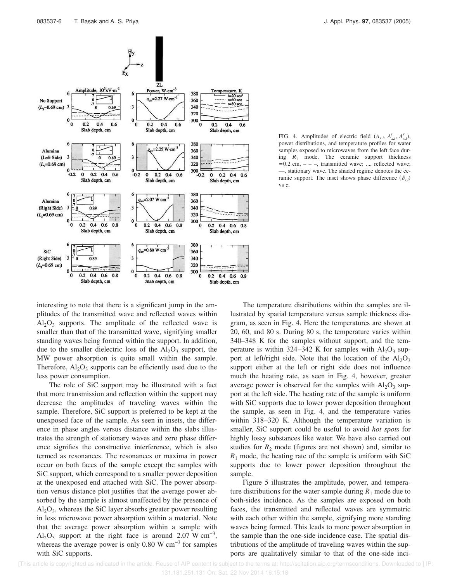

FIG. 4. Amplitudes of electric field  $(A_{x,l}, A_{x,l}^t, A_{x,l}^r)$ , power distributions, and temperature profiles for water samples exposed to microwaves from the left face during  $R_1$  mode. The ceramic support thickness  $=0.2$  cm,  $-$  –, transmitted wave; ..., reflected wave; —, stationary wave. The shaded regime denotes the ceramic support. The inset shows phase difference  $(\delta_{x,l})$ vs *z*.

interesting to note that there is a significant jump in the amplitudes of the transmitted wave and reflected waves within  $Al_2O_3$  supports. The amplitude of the reflected wave is smaller than that of the transmitted wave, signifying smaller standing waves being formed within the support. In addition, due to the smaller dielectric loss of the  $Al_2O_3$  support, the MW power absorption is quite small within the sample. Therefore,  $Al_2O_3$  supports can be efficiently used due to the less power consumption.

The role of SiC support may be illustrated with a fact that more transmission and reflection within the support may decrease the amplitudes of traveling waves within the sample. Therefore, SiC support is preferred to be kept at the unexposed face of the sample. As seen in insets, the difference in phase angles versus distance within the slabs illustrates the strength of stationary waves and zero phase difference signifies the constructive interference, which is also termed as resonances. The resonances or maxima in power occur on both faces of the sample except the samples with SiC support, which correspond to a smaller power deposition at the unexposed end attached with SiC. The power absorption versus distance plot justifies that the average power absorbed by the sample is almost unaffected by the presence of  $Al_2O_3$ , whereas the SiC layer absorbs greater power resulting in less microwave power absorption within a material. Note that the average power absorption within a sample with  $Al_2O_3$  support at the right face is around 2.07 W cm<sup>-3</sup>, whereas the average power is only 0.80 W cm<sup>−3</sup> for samples with SiC supports.

The temperature distributions within the samples are illustrated by spatial temperature versus sample thickness diagram, as seen in Fig. 4. Here the temperatures are shown at 20, 60, and 80 s. During 80 s, the temperature varies within 340–348 K for the samples without support, and the temperature is within 324–342 K for samples with  $Al_2O_3$  support at left/right side. Note that the location of the  $Al_2O_3$ support either at the left or right side does not influence much the heating rate, as seen in Fig. 4, however, greater average power is observed for the samples with  $Al_2O_3$  support at the left side. The heating rate of the sample is uniform with SiC supports due to lower power deposition throughout the sample, as seen in Fig. 4, and the temperature varies within 318–320 K. Although the temperature variation is smaller, SiC support could be useful to avoid *hot spots* for highly lossy substances like water. We have also carried out studies for  $R_2$  mode (figures are not shown) and, similar to  $R_1$  mode, the heating rate of the sample is uniform with SiC supports due to lower power deposition throughout the sample.

Figure 5 illustrates the amplitude, power, and temperature distributions for the water sample during  $R_1$  mode due to both-sides incidence. As the samples are exposed on both faces, the transmitted and reflected waves are symmetric with each other within the sample, signifying more standing waves being formed. This leads to more power absorption in the sample than the one-side incidence case. The spatial distributions of the amplitude of traveling waves within the supports are qualitatively similar to that of the one-side inci-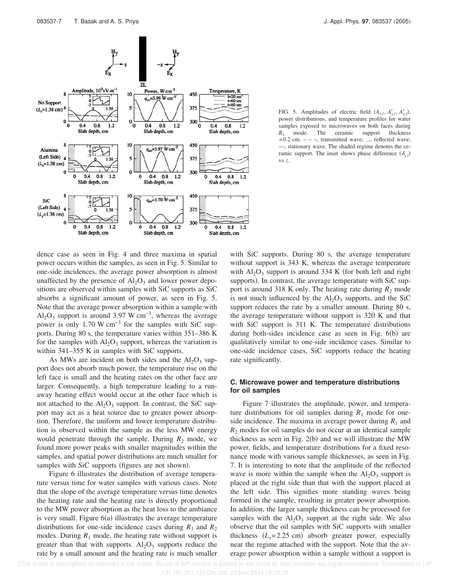

FIG. 5. Amplitudes of electric field  $(A_{x,l}, A_{x,l}^t, A_{x,l}^r)$ , power distributions, and temperature profiles for water samples exposed to microwaves on both faces during *R*<sup>1</sup> mode. The ceramic support thickness  $=0.2$  cm.  $-$  –, transmitted wave; ..., reflected wave; —, stationary wave. The shaded regime denotes the ceramic support. The inset shows phase difference  $(\delta_{x,l})$ vs *z*.

dence case as seen in Fig. 4 and three maxima in spatial power occurs within the samples, as seen in Fig. 5. Similar to one-side incidences, the average power absorption is almost unaffected by the presence of  $Al_2O_3$  and lower power depositions are observed within samples with SiC supports as SiC absorbs a significant amount of power, as seen in Fig. 5. Note that the average power absorption within a sample with  $\text{Al}_2\text{O}_3$  support is around 3.97 W cm<sup>-3</sup>, whereas the average power is only 1.70 W cm−3 for the samples with SiC supports. During 80 s, the temperature varies within 351–386 K for the samples with  $\text{Al}_2\text{O}_3$  support, whereas the variation is within 341–355 K in samples with SiC supports.

As MWs are incident on both sides and the  $Al_2O_3$  support does not absorb much power, the temperature rise on the left face is small and the heating rates on the other face are larger. Consequently, a high temperature leading to a runaway heating effect would occur at the other face which is not attached to the  $Al_2O_3$  support. In contrast, the SiC support may act as a heat source due to greater power absorption. Therefore, the uniform and lower temperature distribution is observed within the sample as the less MW energy would penetrate through the sample. During  $R_2$  mode, we found more power peaks with smaller magnitudes within the samples, and spatial power distributions are much smaller for samples with SiC supports (figures are not shown).

Figure 6 illustrates the distribution of average temperature versus time for water samples with various cases. Note that the slope of the average temperature versus time denotes the heating rate and the heating rate is directly proportional to the MW power absorption as the heat loss to the ambiance is very small. Figure  $6(a)$  illustrates the average temperature distributions for one-side incidence cases during  $R_1$  and  $R_2$ modes. During  $R_1$  mode, the heating rate without support is greater than that with supports.  $Al_2O_3$  supports reduce the rate by a small amount and the heating rate is much smaller

with SiC supports. During 80 s, the average temperature without support is 343 K, whereas the average temperature with  $Al_2O_3$  support is around 334 K (for both left and right supports). In contrast, the average temperature with SiC support is around 318 K only. The heating rate during  $R_2$  mode is not much influenced by the  $\text{Al}_2\text{O}_3$  supports, and the SiC support reduces the rate by a smaller amount. During 80 s, the average temperature without support is 320 K and that with SiC support is 311 K. The temperature distributions during both-sides incidence case as seen in Fig.  $6(b)$  are qualitatively similar to one-side incidence cases. Similar to one-side incidence cases, SiC supports reduce the heating rate significantly.

### **C. Microwave power and temperature distributions for oil samples**

Figure 7 illustrates the amplitude, power, and temperature distributions for oil samples during  $R_1$  mode for oneside incidence. The maxima in average power during  $R_1$  and *R*<sup>2</sup> modes for oil samples do not occur at an identical sample thickness as seen in Fig.  $2(b)$  and we will illustrate the MW power, fields, and temperature distributions for a fixed resonance mode with various sample thicknesses, as seen in Fig. 7. It is interesting to note that the amplitude of the reflected wave is more within the sample when the  $Al_2O_3$  support is placed at the right side than that with the support placed at the left side. This signifies more standing waves being formed in the sample, resulting in greater power absorption. In addition, the larger sample thickness can be processed for samples with the  $Al_2O_3$  support at the right side. We also observe that the oil samples with SiC supports with smaller thickness  $(L<sub>s</sub>=2.25$  cm) absorb greater power, especially near the regime attached with the support. Note that the average power absorption within a sample without a support is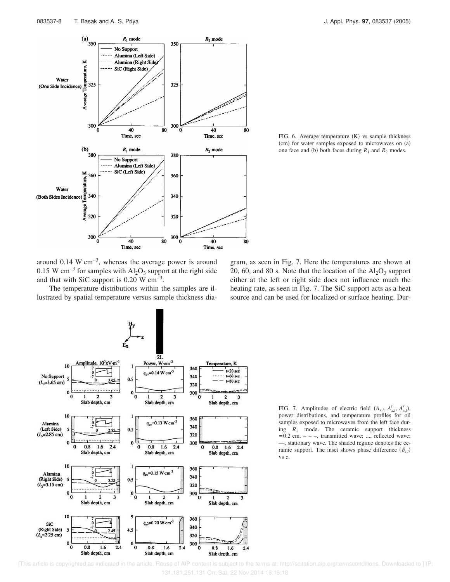

FIG. 6. Average temperature  $(K)$  vs sample thickness  $(cm)$  for water samples exposed to microwaves on  $(a)$ one face and (b) both faces during  $R_1$  and  $R_2$  modes.

around 0.14 W cm−3, whereas the average power is around 0.15 W cm<sup>-3</sup> for samples with  $\text{Al}_2\text{O}_3$  support at the right side and that with SiC support is  $0.20 \text{ W cm}^{-3}$ .

The temperature distributions within the samples are illustrated by spatial temperature versus sample thickness dia-





FIG. 7. Amplitudes of electric field  $(A_{x,l}, A_{x,l}^t, A_{x,l}^r)$ , power distributions, and temperature profiles for oil samples exposed to microwaves from the left face during  $R_1$  mode. The ceramic support thickness  $=0.2$  cm.  $-$  –, transmitted wave; ..., reflected wave; —, stationary wave. The shaded regime denotes the ceramic support. The inset shows phase difference  $(\delta_{x,l})$ vs *z*.

 [This article is copyrighted as indicated in the article. Reuse of AIP content is subject to the terms at: http://scitation.aip.org/termsconditions. Downloaded to ] IP: 131.181.251.131 On: Sat, 22 Nov 2014 16:15:18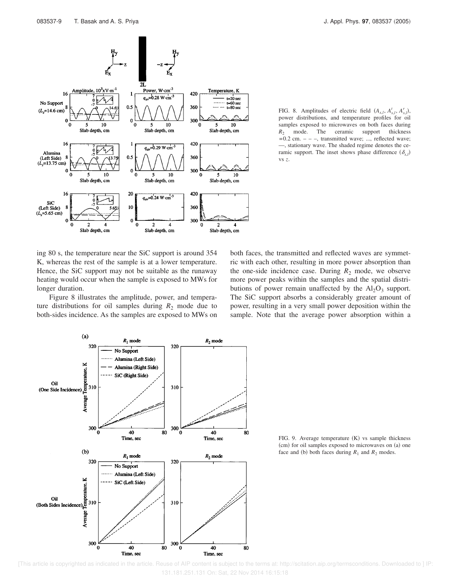

FIG. 8. Amplitudes of electric field  $(A_{x,l}, A_{x,l}^t, A_{x,l}^r)$ , power distributions, and temperature profiles for oil samples exposed to microwaves on both faces during *R*<sup>2</sup> mode. The ceramic support thickness  $=0.2$  cm.  $-$  –, transmitted wave; ..., reflected wave; —, stationary wave. The shaded regime denotes the ceramic support. The inset shows phase difference  $(\delta_{x,l})$ vs *z*.

ing 80 s, the temperature near the SiC support is around 354 K, whereas the rest of the sample is at a lower temperature. Hence, the SiC support may not be suitable as the runaway heating would occur when the sample is exposed to MWs for longer duration.

Figure 8 illustrates the amplitude, power, and temperature distributions for oil samples during  $R_2$  mode due to both-sides incidence. As the samples are exposed to MWs on both faces, the transmitted and reflected waves are symmetric with each other, resulting in more power absorption than the one-side incidence case. During  $R_2$  mode, we observe more power peaks within the samples and the spatial distributions of power remain unaffected by the  $\text{Al}_2\text{O}_3$  support. The SiC support absorbs a considerably greater amount of power, resulting in a very small power deposition within the sample. Note that the average power absorption within a



FIG. 9. Average temperature  $(K)$  vs sample thickness  $\epsilon$  (cm) for oil samples exposed to microwaves on  $\epsilon$ ) one face and (b) both faces during  $R_1$  and  $R_2$  modes.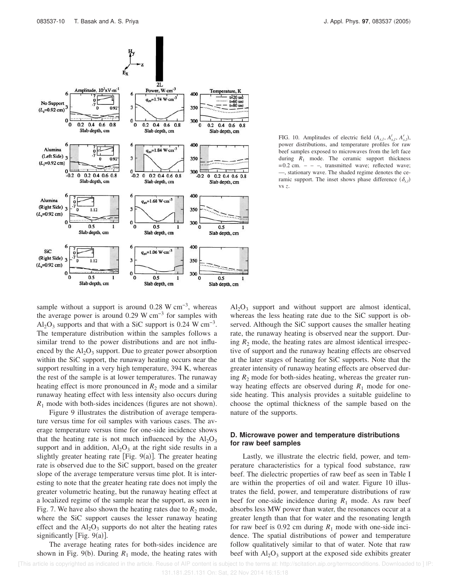

FIG. 10. Amplitudes of electric field  $(A_{x,l}, A_{x,l}^t, A_{x,l}^r)$ , power distributions, and temperature profiles for raw beef samples exposed to microwaves from the left face during  $R_1$  mode. The ceramic support thickness  $=0.2$  cm.  $-$  –, transmitted wave; reflected wave; —, stationary wave. The shaded regime denotes the ceramic support. The inset shows phase difference  $(\delta_{x,l})$ vs *z*.

sample without a support is around 0.28 W cm<sup>-3</sup>, whereas the average power is around 0.29 W cm<sup>-3</sup> for samples with  $\text{Al}_2\text{O}_3$  supports and that with a SiC support is 0.24 W cm<sup>-3</sup>. The temperature distribution within the samples follows a similar trend to the power distributions and are not influenced by the  $Al_2O_3$  support. Due to greater power absorption within the SiC support, the runaway heating occurs near the support resulting in a very high temperature, 394 K, whereas the rest of the sample is at lower temperatures. The runaway heating effect is more pronounced in  $R_2$  mode and a similar runaway heating effect with less intensity also occurs during  $R_1$  mode with both-sides incidences (figures are not shown).

Figure 9 illustrates the distribution of average temperature versus time for oil samples with various cases. The average temperature versus time for one-side incidence shows that the heating rate is not much influenced by the  $Al_2O_3$ support and in addition,  $Al_2O_3$  at the right side results in a slightly greater heating rate [Fig.  $9(a)$ ]. The greater heating rate is observed due to the SiC support, based on the greater slope of the average temperature versus time plot. It is interesting to note that the greater heating rate does not imply the greater volumetric heating, but the runaway heating effect at a localized regime of the sample near the support, as seen in Fig. 7. We have also shown the heating rates due to  $R_2$  mode, where the SiC support causes the lesser runaway heating effect and the  $Al_2O_3$  supports do not alter the heating rates significantly [Fig.  $9(a)$ ].

The average heating rates for both-sides incidence are shown in Fig. 9(b). During  $R_1$  mode, the heating rates with

 $Al_2O_3$  support and without support are almost identical, whereas the less heating rate due to the SiC support is observed. Although the SiC support causes the smaller heating rate, the runaway heating is observed near the support. During  $R_2$  mode, the heating rates are almost identical irrespective of support and the runaway heating effects are observed at the later stages of heating for SiC supports. Note that the greater intensity of runaway heating effects are observed during  $R_2$  mode for both-sides heating, whereas the greater runway heating effects are observed during  $R_1$  mode for oneside heating. This analysis provides a suitable guideline to choose the optimal thickness of the sample based on the nature of the supports.

# **D. Microwave power and temperature distributions for raw beef samples**

Lastly, we illustrate the electric field, power, and temperature characteristics for a typical food substance, raw beef. The dielectric properties of raw beef as seen in Table I are within the properties of oil and water. Figure 10 illustrates the field, power, and temperature distributions of raw beef for one-side incidence during  $R_1$  mode. As raw beef absorbs less MW power than water, the resonances occur at a greater length than that for water and the resonating length for raw beef is 0.92 cm during  $R_1$  mode with one-side incidence. The spatial distributions of power and temperature follow qualitatively similar to that of water. Note that raw beef with  $Al_2O_3$  support at the exposed side exhibits greater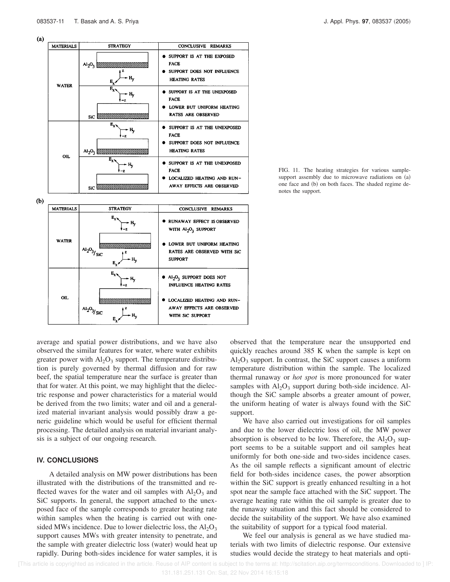

**SUPPORT** 

 $\bullet$ 

Al<sub>2</sub>O<sub>2</sub> SUPPORT DOES NOT INFLUENCE HEATING RATES

WITH SiC SUPPORT

LOCALIZED HEATING AND RUN-

AWAY EFFECTS ARE OBSERVED

FIG. 11. The heating strategies for various samplesupport assembly due to microwave radiations on  $(a)$ one face and (b) on both faces. The shaded regime denotes the support.

average and spatial power distributions, and we have also observed the similar features for water, where water exhibits greater power with  $Al_2O_3$  support. The temperature distribution is purely governed by thermal diffusion and for raw beef, the spatial temperature near the surface is greater than that for water. At this point, we may highlight that the dielectric response and power characteristics for a material would be derived from the two limits; water and oil and a generalized material invariant analysis would possibly draw a generic guideline which would be useful for efficient thermal processing. The detailed analysis on material invariant analysis is a subject of our ongoing research.

– H.

# **IV. CONCLUSIONS**

OIL

 $\frac{A1_2O_3}{S}$ ic

A detailed analysis on MW power distributions has been illustrated with the distributions of the transmitted and reflected waves for the water and oil samples with  $Al_2O_3$  and SiC supports. In general, the support attached to the unexposed face of the sample corresponds to greater heating rate within samples when the heating is carried out with onesided MWs incidence. Due to lower dielectric loss, the  $Al_2O_3$ support causes MWs with greater intensity to penetrate, and the sample with greater dielectric loss (water) would heat up rapidly. During both-sides incidence for water samples, it is observed that the temperature near the unsupported end quickly reaches around 385 K when the sample is kept on  $Al_2O_3$  support. In contrast, the SiC support causes a uniform temperature distribution within the sample. The localized thermal runaway or *hot spot* is more pronounced for water samples with  $\text{Al}_2\text{O}_3$  support during both-side incidence. Although the SiC sample absorbs a greater amount of power, the uniform heating of water is always found with the SiC support.

We have also carried out investigations for oil samples and due to the lower dielectric loss of oil, the MW power absorption is observed to be low. Therefore, the  $Al_2O_3$  support seems to be a suitable support and oil samples heat uniformly for both one-side and two-sides incidence cases. As the oil sample reflects a significant amount of electric field for both-sides incidence cases, the power absorption within the SiC support is greatly enhanced resulting in a hot spot near the sample face attached with the SiC support. The average heating rate within the oil sample is greater due to the runaway situation and this fact should be considered to decide the suitability of the support. We have also examined the suitability of support for a typical food material.

We feel our analysis is general as we have studied materials with two limits of dielectric response. Our extensive studies would decide the strategy to heat materials and opti-